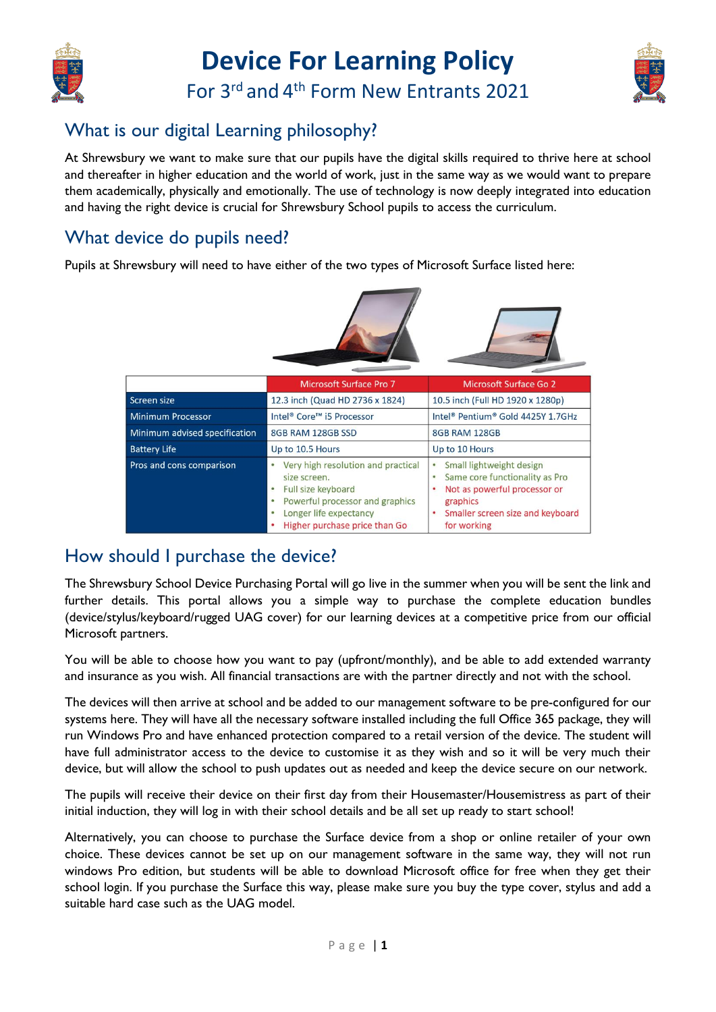

# **Device For Learning Policy**

For 3<sup>rd</sup> and 4<sup>th</sup> Form New Entrants 2021



### What is our digital Learning philosophy?

At Shrewsbury we want to make sure that our pupils have the digital skills required to thrive here at school and thereafter in higher education and the world of work, just in the same way as we would want to prepare them academically, physically and emotionally. The use of technology is now deeply integrated into education and having the right device is crucial for Shrewsbury School pupils to access the curriculum.

### What device do pupils need?

Pupils at Shrewsbury will need to have either of the two types of Microsoft Surface listed here:

|                               | <b>Microsoft Surface Pro 7</b>                                                                                                                                         | <b>Microsoft Surface Go 2</b>                                                                                                                                            |
|-------------------------------|------------------------------------------------------------------------------------------------------------------------------------------------------------------------|--------------------------------------------------------------------------------------------------------------------------------------------------------------------------|
| Screen size                   | 12.3 inch (Quad HD 2736 x 1824)                                                                                                                                        | 10.5 inch (Full HD 1920 x 1280p)                                                                                                                                         |
| <b>Minimum Processor</b>      | Intel® Core <sup>™</sup> i5 Processor                                                                                                                                  | Intel® Pentium® Gold 4425Y 1.7GHz                                                                                                                                        |
| Minimum advised specification | 8GB RAM 128GB SSD                                                                                                                                                      | 8GB RAM 128GB                                                                                                                                                            |
| <b>Battery Life</b>           | Up to 10.5 Hours                                                                                                                                                       | Up to 10 Hours                                                                                                                                                           |
| Pros and cons comparison      | Very high resolution and practical<br>size screen.<br>Full size keyboard<br>Powerful processor and graphics<br>Longer life expectancy<br>Higher purchase price than Go | Small lightweight design<br>۰<br>Same core functionality as Pro<br>٠<br>Not as powerful processor or<br>٠<br>graphics<br>Smaller screen size and keyboard<br>for working |

### How should I purchase the device?

The Shrewsbury School Device Purchasing Portal will go live in the summer when you will be sent the link and further details. This portal allows you a simple way to purchase the complete education bundles (device/stylus/keyboard/rugged UAG cover) for our learning devices at a competitive price from our official Microsoft partners.

You will be able to choose how you want to pay (upfront/monthly), and be able to add extended warranty and insurance as you wish. All financial transactions are with the partner directly and not with the school.

The devices will then arrive at school and be added to our management software to be pre-configured for our systems here. They will have all the necessary software installed including the full Office 365 package, they will run Windows Pro and have enhanced protection compared to a retail version of the device. The student will have full administrator access to the device to customise it as they wish and so it will be very much their device, but will allow the school to push updates out as needed and keep the device secure on our network.

The pupils will receive their device on their first day from their Housemaster/Housemistress as part of their initial induction, they will log in with their school details and be all set up ready to start school!

Alternatively, you can choose to purchase the Surface device from a shop or online retailer of your own choice. These devices cannot be set up on our management software in the same way, they will not run windows Pro edition, but students will be able to download Microsoft office for free when they get their school login. If you purchase the Surface this way, please make sure you buy the type cover, stylus and add a suitable hard case such as the UAG model.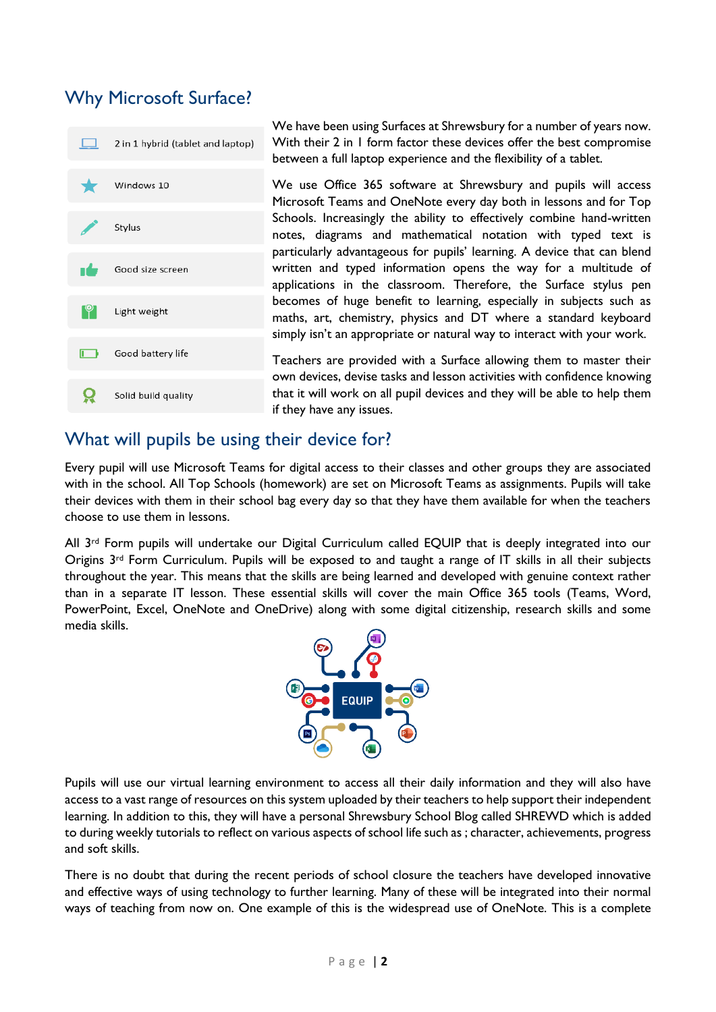### Why Microsoft Surface?



#### What will pupils be using their device for?

Every pupil will use Microsoft Teams for digital access to their classes and other groups they are associated with in the school. All Top Schools (homework) are set on Microsoft Teams as assignments. Pupils will take their devices with them in their school bag every day so that they have them available for when the teachers choose to use them in lessons.

All 3<sup>rd</sup> Form pupils will undertake our Digital Curriculum called EQUIP that is deeply integrated into our Origins 3rd Form Curriculum. Pupils will be exposed to and taught a range of IT skills in all their subjects throughout the year. This means that the skills are being learned and developed with genuine context rather than in a separate IT lesson. These essential skills will cover the main Office 365 tools (Teams, Word, PowerPoint, Excel, OneNote and OneDrive) along with some digital citizenship, research skills and some media skills.



Pupils will use our virtual learning environment to access all their daily information and they will also have access to a vast range of resources on this system uploaded by their teachers to help support their independent learning. In addition to this, they will have a personal Shrewsbury School Blog called SHREWD which is added to during weekly tutorials to reflect on various aspects of school life such as ; character, achievements, progress and soft skills.

There is no doubt that during the recent periods of school closure the teachers have developed innovative and effective ways of using technology to further learning. Many of these will be integrated into their normal ways of teaching from now on. One example of this is the widespread use of OneNote. This is a complete